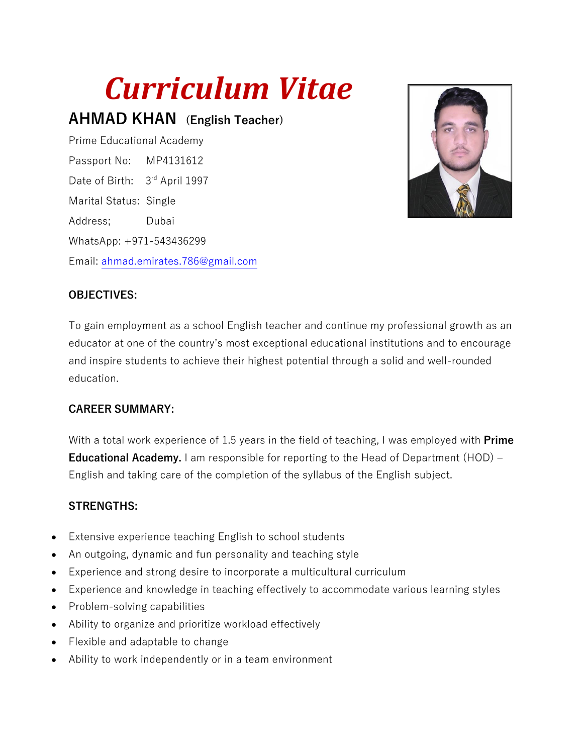# *Curriculum Vitae*

**AHMAD KHAN (English Teacher)** 

Prime Educational Academy Passport No: MP4131612 Date of Birth: 3rd April 1997 Marital Status: Single Address; Dubai WhatsApp: +971-543436299 Email: [ahmad.emirates.786@gmail.com](mailto:ahmad.emirates.786@gmail.com)



## **OBJECTIVES:**

To gain employment as a school English teacher and continue my professional growth as an educator at one of the country's most exceptional educational institutions and to encourage and inspire students to achieve their highest potential through a solid and well-rounded education.

#### **CAREER SUMMARY:**

With a total work experience of 1.5 years in the field of teaching, I was employed with **Prime Educational Academy.** I am responsible for reporting to the Head of Department (HOD) – English and taking care of the completion of the syllabus of the English subject.

## **STRENGTHS:**

- Extensive experience teaching English to school students
- An outgoing, dynamic and fun personality and teaching style
- Experience and strong desire to incorporate a multicultural curriculum
- Experience and knowledge in teaching effectively to accommodate various learning styles
- Problem-solving capabilities
- Ability to organize and prioritize workload effectively
- Flexible and adaptable to change
- Ability to work independently or in a team environment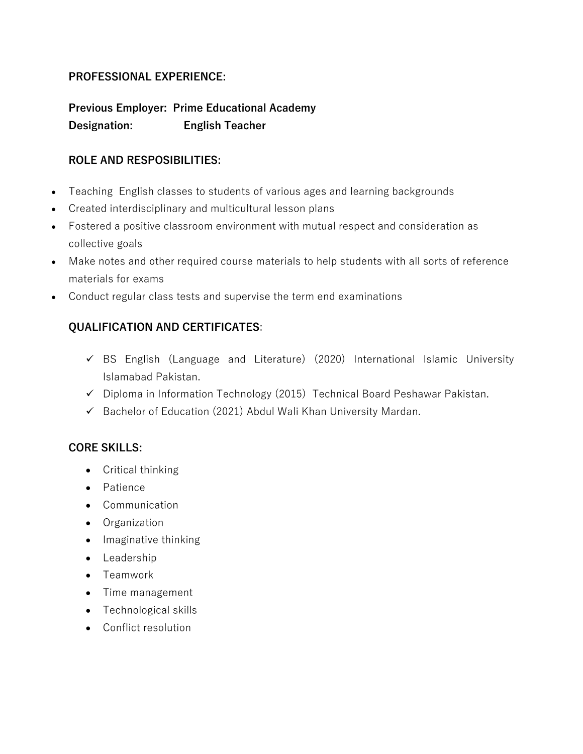## **PROFESSIONAL EXPERIENCE:**

**Previous Employer: Prime Educational Academy Designation: English Teacher** 

## **ROLE AND RESPOSIBILITIES:**

- Teaching English classes to students of various ages and learning backgrounds
- Created interdisciplinary and multicultural lesson plans
- Fostered a positive classroom environment with mutual respect and consideration as collective goals
- Make notes and other required course materials to help students with all sorts of reference materials for exams
- Conduct regular class tests and supervise the term end examinations

## **QUALIFICATION AND CERTIFICATES**:

- ✓ BS English (Language and Literature) (2020) International Islamic University Islamabad Pakistan.
- ✓ Diploma in Information Technology (2015) Technical Board Peshawar Pakistan.
- ✓ Bachelor of Education (2021) Abdul Wali Khan University Mardan.

## **CORE SKILLS:**

- Critical thinking
- Patience
- Communication
- Organization
- Imaginative thinking
- Leadership
- Teamwork
- Time management
- Technological skills
- Conflict resolution